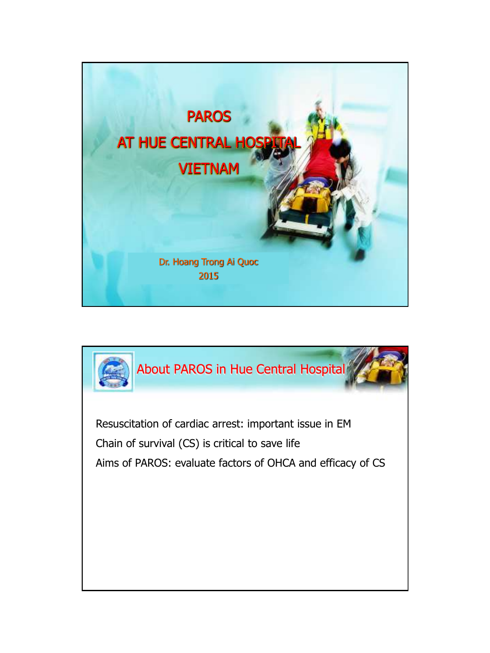

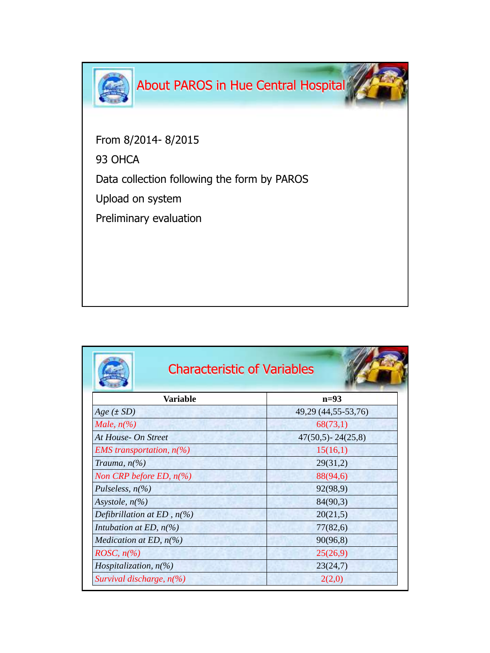

From 8/2014- 8/2015

93 OHCA

Data collection following the form by PAROS

Upload on system

Preliminary evaluation

| <b>Characteristic of Variables</b>                 |                       |  |  |  |  |
|----------------------------------------------------|-----------------------|--|--|--|--|
| Variable                                           | $n=93$                |  |  |  |  |
| $Age (\pm SD)$                                     | 49,29 (44,55-53,76)   |  |  |  |  |
| Male, $n\llap{$\binom{0}{6}$}$                     | 68(73,1)              |  |  |  |  |
| At House- On Street                                | $47(50,5) - 24(25,8)$ |  |  |  |  |
| <i>EMS</i> transportation, $n(\%)$                 | 15(16,1)              |  |  |  |  |
| Trauma, $n\llap{$}^{\prime}\!\!\!\!\!/$            | 29(31,2)              |  |  |  |  |
| Non CRP before ED, $n(\%)$                         | 88(94,6)              |  |  |  |  |
| Pulseless, $n\frac{6}{6}$                          | 92(98,9)              |  |  |  |  |
| Asystole, $n\llap/$ <sub>0</sub>                   | 84(90,3)              |  |  |  |  |
| Defibrillation at ED, $n(\%)$                      | 20(21,5)              |  |  |  |  |
| Intubation at ED, $n(\%)$                          | 77(82,6)              |  |  |  |  |
| <i>Medication at ED, <math>n\frac{6}{6}</math></i> | 90(96,8)              |  |  |  |  |
| <i>ROSC</i> , $n\frac{\%}{\%}$                     | 25(26,9)              |  |  |  |  |
| Hospitalization, $n(\%)$                           | 23(24,7)              |  |  |  |  |
| Survival discharge, $n\llap/$                      | 2(2,0)                |  |  |  |  |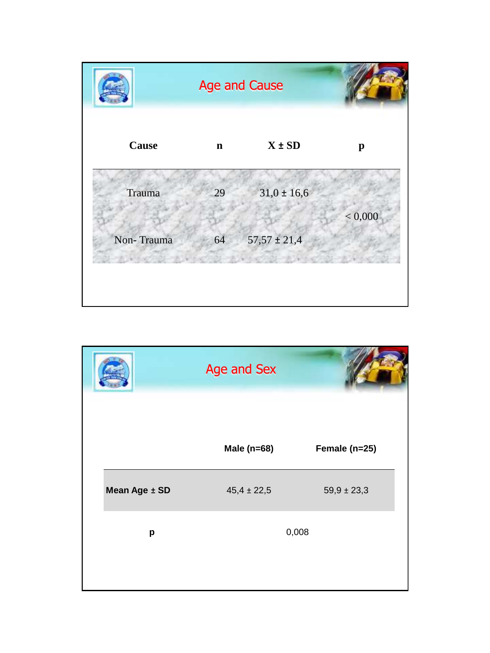

|               | Age and Sex     |                 |
|---------------|-----------------|-----------------|
|               | Male (n=68)     | Female (n=25)   |
| Mean Age ± SD | $45,4 \pm 22,5$ | $59,9 \pm 23,3$ |
| р             |                 | 0,008           |
|               |                 |                 |